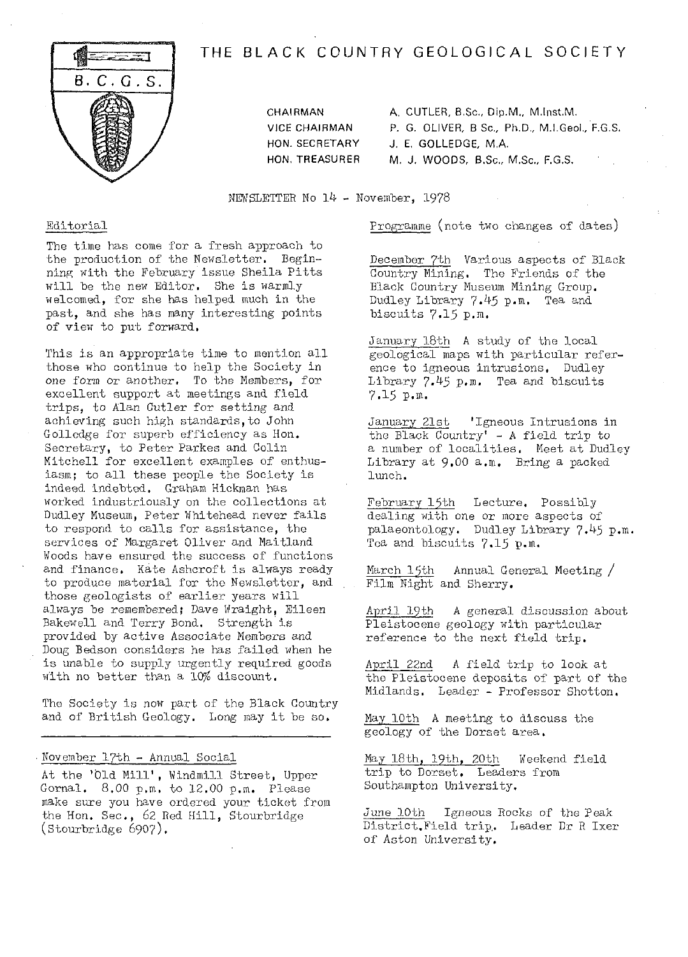

# **THE BLACK COUNTRY GEOLOGICAL SOCIETY**

CHAIRMAN A. CUTLER, B.Sc., Dip.M., M.Inst.M. VICE CHAIRMAN P. G. OLIVER, B Sc., Ph.D., M.I,Geol., F.G.S. HON. SECRETARY J. E. GOLLEDGE, M.A. HON. TREASURER M. J. WOODS, B.Sc., M.Sc., F.G.S.

NEWSLETTER No  $14$  - November, 1978

## Editorial

The time has come for a fresh approach to the production of the Newsletter. Begin-<br>ning with the February issue Sheila Pitts will be the new Editor. She is warmly welcomed, for she has helped. much in the past, and she has many interesting points of view to put forward,

This is an appropriate time to mention all those who continue to help the Society in one form or another. To the Members, for excellent support at meetings and field trips, to Alan Cutler for setting and achieving such high standards,to John Golledge for superb efficiency as Hon. Secretary, to Peter Parkes and Colin Mitchell for excellent examples of enthusiasm; to all these people the Society Is indeed indebted. Graham Hickman has worked. industriously on the collections at Dudley Museum, Peter Whitehead never fails to respond to calls for assistance, the services of Margaret Oliver and Maitland Woods have ensured the success of functions and finance. Kate Ashcroft is always ready to produce material for the Newsletter, and those geologists of earlier years will always be remembered; Dave Wraight, Eileen Bakewell and Terry Bond. Strength is provided by active Associate Members and Doug Bedson considers he has failed when he is unable to supply urgently required goods with no better than a 10% discount.

The Society is now part of the Black Country and of British Geology. Long may it be so.

#### November 17th - Annual Social

At the 'Old Mill', Windmill Street, Upper Gornal. 8.00 p.m. to 12.00 p.m. Please make sure you have ordered your ticket from the Hon. Sec., 62 Red Hill, Stourbridge  $(\text{Stourbridge } 6907).$ 

Programme (note two changes of dates)

December 7th Various aspects of Black Country Mining. The Friends of the Black Country Museum Mining Group. Dudley Library 7.45 p.m. Tea and biscuits 7.15 p.m.

January 18th A study of the local geological maps with particular reference to igneous intrusions. Dudley Library 7.45 p.m. Tea and biscuits 7.15 p.m.

January 21st 'Igneous Intrusions in the Black Country' - A field trip to a number of localities. Meet at Dudley Library at 9.00 a.m. Bring a packed lunch.

February 15th Lecture, Possibly dealing with one or more aspects of palaeontology. Dudley Library 7.45 p.m. Tea and biscuits 7.15 p.m.

March  $15$ th Annual General Meeting  $/$ Film Night and Sherry.

April 19th A general discussion about Pleistocene geology with particular reference to the next field trip.

April 22nd A field trip to look at the Pleistocene deposits of part of the Midlands, Leader - Professor Shotton,

May 10th A meeting to discuss the geology of the Dorset area.

May 18th, 19th, 20th Weekend field trip to Dorset. Leaders from Southampton University.

June 10th Igneous Rocks of the Peak District, Field trip. Leader Dr R Ixer of Aston University.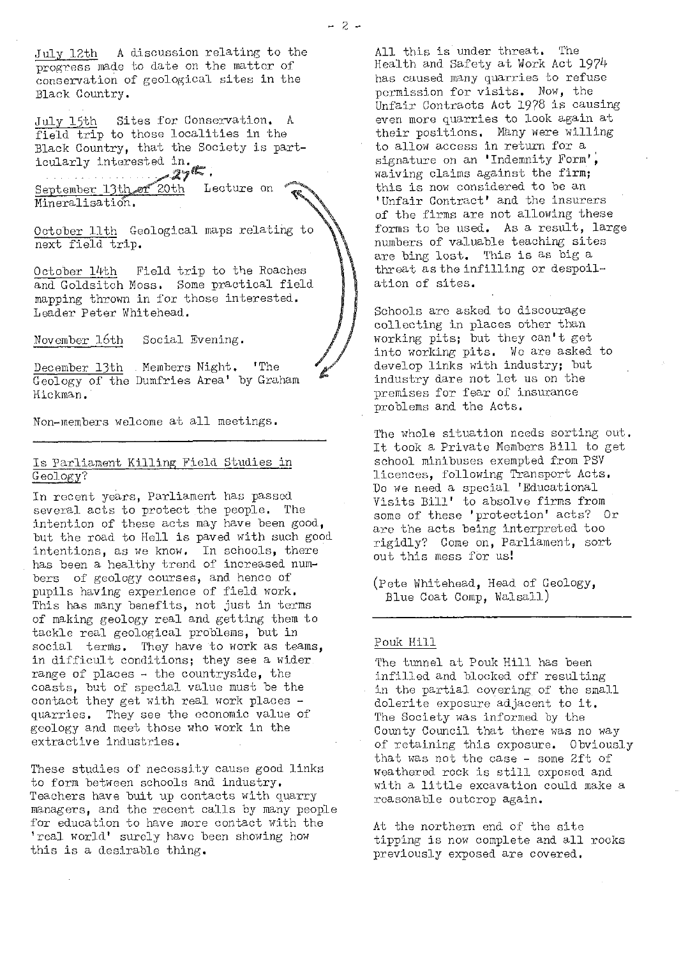July 12th A discussion relating to the progress made to date on the matter of conservation of geological sites in the Black Country.

July 15th Sites for Conservation. A field trip to those localities in the Black Country, that the Society is particularly interested in.<br>27%.

 $S$ eptember 13th or  $27$ <sup>th</sup>. Lecture on Mineralisation..

October 11th Geological maps relating to next field trip.

October 14th Field trip to the Roaches and Goldsitch Moss. Some practical field mapping thrown in for those interested. Leader Peter Whitehead.

November 16th Social Evening.

December. 13th . Members Night. 'The Geology of the Dumfries Area' by Graham Hickman.

Non-members welcome at all meetings.

#### Is Parliament Killing Field Studies in Geology?

In recent years, Parliament has passed several acts to protect the people. The intention of these acts may have been good, but the road to Hell is paved with such good intentions, as we know. In schools, there has been a healthy trend of increased numbers of geology courses, and hence of pupils having experience of field work. This has many benefits, not just in terms of making geology real and getting them to tackle real geological problems, but in social terms. They have to work as teams, in difficult conditions; they see a wider range of places - the countryside, the coasts, but of special value must be the contact they get with real work places quarries. They see the economic value of geology and meet those who work in the extractive industries.

These studies of necessity cause good links to form between schools and industry. Teachers have buit up contacts with quarry managers, and the recent calls by many people for education to have more contact with the ' real world' surely have been showing how this is a desirable thing.

All this is under threat. The Health and Safety at Work Act 1974 has caused many quarries to refuse permission for visits. Now, the Unfair Contracts Act 1978 is causing even more quarries to look again at their positions. Many were willing to allow access in return for a signature on an 'Indemnity Form', waiving claims against the firm; this is now considered to be an ' Unfair Contract' and the insurers of the firms are not allowing these forms to be used. As a result, large numbers of valuable teaching sites are bing lost. This is as big a threat as the infilling or despoilation of sites.

Schools are asked to discourage collecting In places other than working pits; but they can't get into working pits. We are asked to develop links with industry; but industry dare not let us on the premises for fear of insurance problems and the Acts.

The whole situation needs sorting out. It took a Private Members Bill to get school minibuses exempted from PSV licences, following Transport Acts. Do we need a special 'Educational Visits Bill' to absolve firms from some of these 'protection' acts? Or are the acts being interpreted too rigidly? Come on, Parliament, sort out this mess for us!

(Pete Whitehead, Head of Geology, Blue Coat Comp, Walsall)

#### Pouk Hill

The tunnel at Pouk Hill has been infilled and blocked off resulting in the partial covering of the small dolerite exposure adjacent to it. The Society was informed by the County Council that there was no way of retaining this exposure. Obviously that was not the case - some 2ft of weathered. rock is still exposed and with a little excavation could make a reasonable outcrop again.

At the northern end of the site tipping is now complete and all rocks previously exposed are covered.

-2--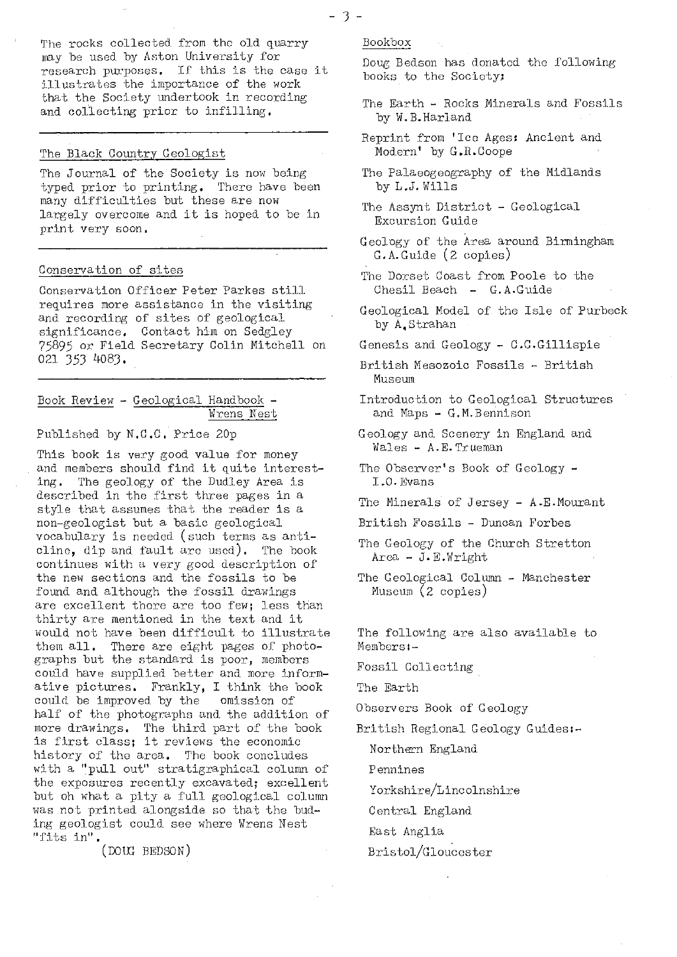The rocks collected from the old quarry may be used by Aston University for research purposes. If this is the case it illustrates the importance of the work that the Society undertook in recording and collecting prior to infilling.

# The Black Countr<sup>y</sup> Geologist

The Journal of the Society is now being typed prior to printing. There have been many difficulties but these are now largely overcome and it is hoped to be in print very soon.

#### Conservation of sites

Conservation Officer Peter Parkes still requires more assistance in the visiting and recording of sites of geological significance. Contact him on Sedgley *7j89j* or Field Secretary Colin Mitchell on 021 353 4083.

#### Book Review - Geological Handbook - Wrens Nest

Published by N.C.C. Price 20p

This book is very good value for money and members should find it quite interesting. The geology of the Dudley Area is described in the first three pages in a style that assumes that the reader is a non-geologist but a basic geological vocabulary is needed (such terms as anticline, dip and fault are used). The book continues with a very good description of the new sections and the fossils to be found and although the fossil drawings are excellent there are too few; less than thirty are mentioned in the text and it would not have been difficult to illustrate them all. There are eight pages of photographs but the standard is poor, members could have supplied better and more informative pictures. Frankly, I think the book could be improved by the omission of half of the photographs and the addition of more drawings. The third part of the book is first class; it reviews the economic history of the area. The book concludes with a "pull out" stratigraphical column of the exposures recently excavated; excellent but oh what a pity a full geological column was not printed alongside so that the bud- ing geologist could see where Wrens Nest "fits in"

(DOUG BEDSON)

Bookbox

Doug Bedson has donated the following books to the Society;

- The Earth Rocks Minerals and Fossils by W.B.Harland
- Reprint from 'Ice Ages; Ancient and Modern' by G.R.Coope
- The Palaeogeography of the Midlands by L.J. Wills
- The Assynt District Geological Excursion Guide
- Geology of the Area around Birmingham G.A.Guide (2 copies)
- The Dorset Coast from Poole to the Chesil Beach - G.A.Guide
- Geological Model of the Isle of Purbeck by A,Strahan
- Genesis and Geology C.C.Gillispie
- British Mesozoic Fossils British Museum
- Introduction to Geological Structures and Maps - G,M.Bennison
- Geology and Scenery in England and Wales - A.E. Trueman
- The Observer's Book of Geology -1 O. Evans
- The Minerals of Jersey A.E.Mourant
- British Fossils Duncan Forbes
- The Geology of the Church Stretton Area - J.E.Wright
- The Geological Column Manchester Museum (2 copies)

The following are also available to Members -

Fossil Collecting

The Earth

Observers Book of Geology

British Regional Geology Guides-

Northern England

Pennines

Yorkshire/Lincolnshire

Central England

East Anglia

## Bristol/Gloucester

-3-